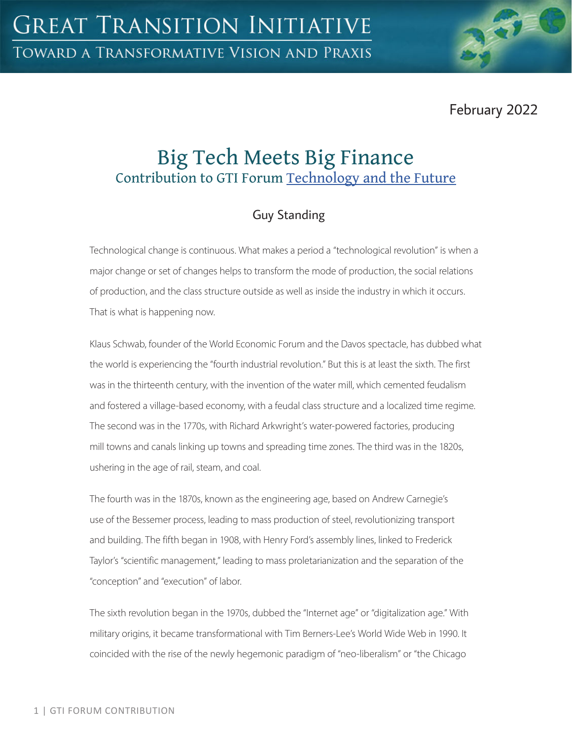February 2022

# Big Tech Meets Big Finance Contribution to GTI Forum [Technology and the Future](https://greattransition.org/gti-forum/tech-and-the-future)

# Guy Standing

Technological change is continuous. What makes a period a "technological revolution" is when a major change or set of changes helps to transform the mode of production, the social relations of production, and the class structure outside as well as inside the industry in which it occurs. That is what is happening now.

Klaus Schwab, founder of the World Economic Forum and the Davos spectacle, has dubbed what the world is experiencing the "fourth industrial revolution." But this is at least the sixth. The first was in the thirteenth century, with the invention of the water mill, which cemented feudalism and fostered a village-based economy, with a feudal class structure and a localized time regime. The second was in the 1770s, with Richard Arkwright's water-powered factories, producing mill towns and canals linking up towns and spreading time zones. The third was in the 1820s, ushering in the age of rail, steam, and coal.

The fourth was in the 1870s, known as the engineering age, based on Andrew Carnegie's use of the Bessemer process, leading to mass production of steel, revolutionizing transport and building. The fifth began in 1908, with Henry Ford's assembly lines, linked to Frederick Taylor's "scientific management," leading to mass proletarianization and the separation of the "conception" and "execution" of labor.

The sixth revolution began in the 1970s, dubbed the "Internet age" or "digitalization age." With military origins, it became transformational with Tim Berners-Lee's World Wide Web in 1990. It coincided with the rise of the newly hegemonic paradigm of "neo-liberalism" or "the Chicago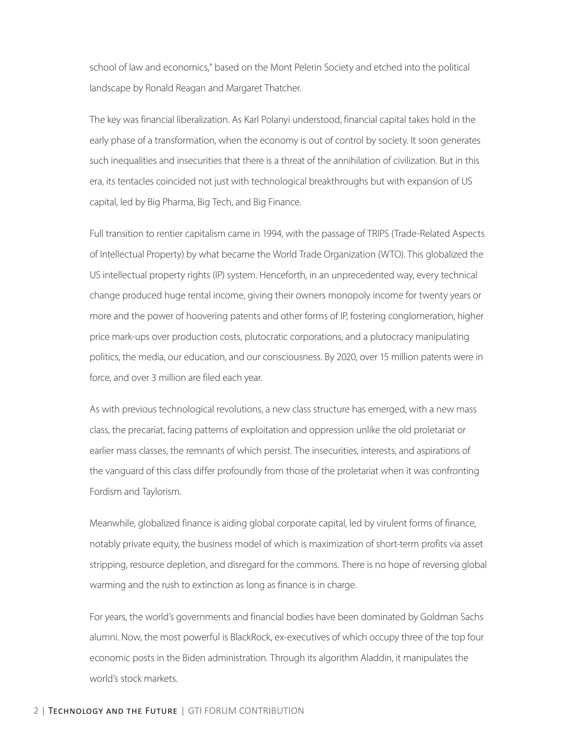school of law and economics," based on the Mont Pelerin Society and etched into the political landscape by Ronald Reagan and Margaret Thatcher.

The key was financial liberalization. As Karl Polanyi understood, financial capital takes hold in the early phase of a transformation, when the economy is out of control by society. It soon generates such inequalities and insecurities that there is a threat of the annihilation of civilization. But in this era, its tentacles coincided not just with technological breakthroughs but with expansion of US capital, led by Big Pharma, Big Tech, and Big Finance.

Full transition to rentier capitalism came in 1994, with the passage of TRIPS (Trade-Related Aspects of Intellectual Property) by what became the World Trade Organization (WTO). This globalized the US intellectual property rights (IP) system. Henceforth, in an unprecedented way, every technical change produced huge rental income, giving their owners monopoly income for twenty years or more and the power of hoovering patents and other forms of IP, fostering conglomeration, higher price mark-ups over production costs, plutocratic corporations, and a plutocracy manipulating politics, the media, our education, and our consciousness. By 2020, over 15 million patents were in force, and over 3 million are filed each year.

As with previous technological revolutions, a new class structure has emerged, with a new mass class, the precariat, facing patterns of exploitation and oppression unlike the old proletariat or earlier mass classes, the remnants of which persist. The insecurities, interests, and aspirations of the vanguard of this class differ profoundly from those of the proletariat when it was confronting Fordism and Taylorism.

Meanwhile, globalized finance is aiding global corporate capital, led by virulent forms of finance, notably private equity, the business model of which is maximization of short-term profits via asset stripping, resource depletion, and disregard for the commons. There is no hope of reversing global warming and the rush to extinction as long as finance is in charge.

For years, the world's governments and financial bodies have been dominated by Goldman Sachs alumni. Now, the most powerful is BlackRock, ex-executives of which occupy three of the top four economic posts in the Biden administration. Through its algorithm Aladdin, it manipulates the world's stock markets.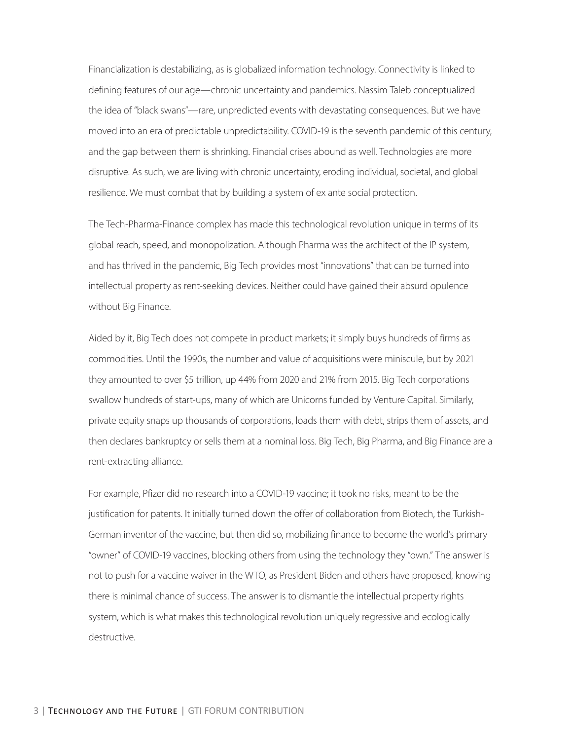Financialization is destabilizing, as is globalized information technology. Connectivity is linked to defining features of our age—chronic uncertainty and pandemics. Nassim Taleb conceptualized the idea of "black swans"—rare, unpredicted events with devastating consequences. But we have moved into an era of predictable unpredictability. COVID-19 is the seventh pandemic of this century, and the gap between them is shrinking. Financial crises abound as well. Technologies are more disruptive. As such, we are living with chronic uncertainty, eroding individual, societal, and global resilience. We must combat that by building a system of ex ante social protection.

The Tech-Pharma-Finance complex has made this technological revolution unique in terms of its global reach, speed, and monopolization. Although Pharma was the architect of the IP system, and has thrived in the pandemic, Big Tech provides most "innovations" that can be turned into intellectual property as rent-seeking devices. Neither could have gained their absurd opulence without Big Finance.

Aided by it, Big Tech does not compete in product markets; it simply buys hundreds of firms as commodities. Until the 1990s, the number and value of acquisitions were miniscule, but by 2021 they amounted to over \$5 trillion, up 44% from 2020 and 21% from 2015. Big Tech corporations swallow hundreds of start-ups, many of which are Unicorns funded by Venture Capital. Similarly, private equity snaps up thousands of corporations, loads them with debt, strips them of assets, and then declares bankruptcy or sells them at a nominal loss. Big Tech, Big Pharma, and Big Finance are a rent-extracting alliance.

For example, Pfizer did no research into a COVID-19 vaccine; it took no risks, meant to be the justification for patents. It initially turned down the offer of collaboration from Biotech, the Turkish-German inventor of the vaccine, but then did so, mobilizing finance to become the world's primary "owner" of COVID-19 vaccines, blocking others from using the technology they "own." The answer is not to push for a vaccine waiver in the WTO, as President Biden and others have proposed, knowing there is minimal chance of success. The answer is to dismantle the intellectual property rights system, which is what makes this technological revolution uniquely regressive and ecologically destructive.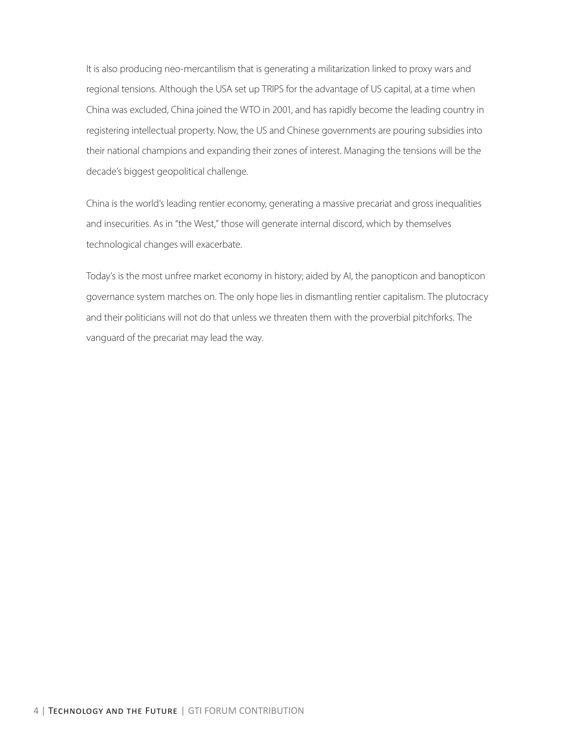It is also producing neo-mercantilism that is generating a militarization linked to proxy wars and regional tensions. Although the USA set up TRIPS for the advantage of US capital, at a time when China was excluded, China joined the WTO in 2001, and has rapidly become the leading country in registering intellectual property. Now, the US and Chinese governments are pouring subsidies into their national champions and expanding their zones of interest. Managing the tensions will be the decade's biggest geopolitical challenge.

China is the world's leading rentier economy, generating a massive precariat and gross inequalities and insecurities. As in "the West," those will generate internal discord, which by themselves technological changes will exacerbate.

Today's is the most unfree market economy in history; aided by AI, the panopticon and banopticon governance system marches on. The only hope lies in dismantling rentier capitalism. The plutocracy and their politicians will not do that unless we threaten them with the proverbial pitchforks. The vanguard of the precariat may lead the way.